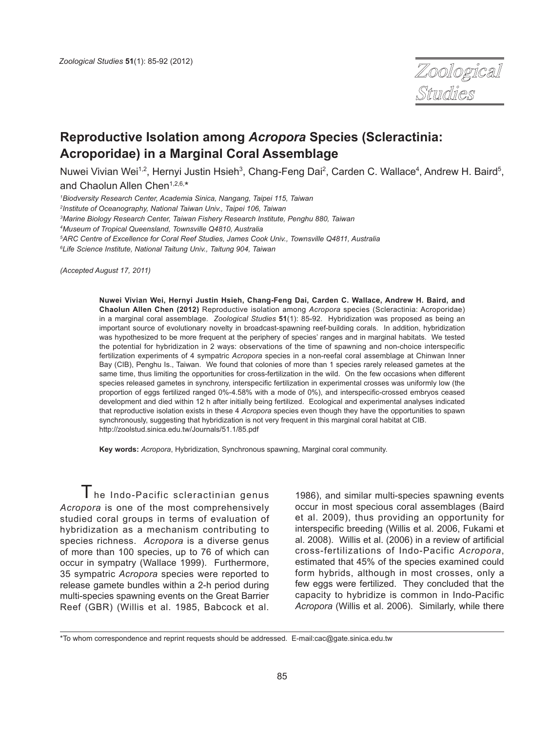

# **Reproductive Isolation among** *Acropora* **Species (Scleractinia: Acroporidae) in a Marginal Coral Assemblage**

Nuwei Vivian Wei<sup>1,2</sup>, Hernyi Justin Hsieh<sup>3</sup>, Chang-Feng Dai<sup>2</sup>, Carden C. Wallace<sup>4</sup>, Andrew H. Baird<sup>5</sup>, and Chaolun Allen Chen<sup>1,2,6,\*</sup>

*1 Biodversity Research Center, Academia Sinica, Nangang, Taipei 115, Taiwan*

*2 Institute of Oceanography, National Taiwan Univ., Taipei 106, Taiwan*

*3 Marine Biology Research Center, Taiwan Fishery Research Institute, Penghu 880, Taiwan*

*4 Museum of Tropical Queensland, Townsville Q4810, Australia*

*5 ARC Centre of Excellence for Coral Reef Studies, James Cook Univ., Townsville Q4811, Australia*

*6 Life Science Institute, National Taitung Univ., Taitung 904, Taiwan*

*(Accepted August 17, 2011)*

**Nuwei Vivian Wei, Hernyi Justin Hsieh, Chang-Feng Dai, Carden C. Wallace, Andrew H. Baird, and Chaolun Allen Chen (2012)** Reproductive isolation among *Acropora* species (Scleractinia: Acroporidae) in a marginal coral assemblage. *Zoological Studies* **51**(1): 85-92. Hybridization was proposed as being an important source of evolutionary novelty in broadcast-spawning reef-building corals. In addition, hybridization was hypothesized to be more frequent at the periphery of species' ranges and in marginal habitats. We tested the potential for hybridization in 2 ways: observations of the time of spawning and non-choice interspecific fertilization experiments of 4 sympatric *Acropora* species in a non-reefal coral assemblage at Chinwan Inner Bay (CIB), Penghu Is., Taiwan. We found that colonies of more than 1 species rarely released gametes at the same time, thus limiting the opportunities for cross-fertilization in the wild. On the few occasions when different species released gametes in synchrony, interspecific fertilization in experimental crosses was uniformly low (the proportion of eggs fertilized ranged 0%-4.58% with a mode of 0%), and interspecific-crossed embryos ceased development and died within 12 h after initially being fertilized. Ecological and experimental analyses indicated that reproductive isolation exists in these 4 *Acropora* species even though they have the opportunities to spawn synchronously, suggesting that hybridization is not very frequent in this marginal coral habitat at CIB. http://zoolstud.sinica.edu.tw/Journals/51.1/85.pdf

**Key words:** *Acropora*, Hybridization, Synchronous spawning, Marginal coral community.

 $T$  he Indo-Pacific scleractinian genus *Acropora* is one of the most comprehensively studied coral groups in terms of evaluation of hybridization as a mechanism contributing to species richness. *Acropora* is a diverse genus of more than 100 species, up to 76 of which can occur in sympatry (Wallace 1999). Furthermore, 35 sympatric *Acropora* species were reported to release gamete bundles within a 2-h period during multi-species spawning events on the Great Barrier Reef (GBR) (Willis et al. 1985, Babcock et al.

1986), and similar multi-species spawning events occur in most specious coral assemblages (Baird et al. 2009), thus providing an opportunity for interspecific breeding (Willis et al. 2006, Fukami et al. 2008). Willis et al. (2006) in a review of artificial cross-fertilizations of Indo-Pacific *Acropora*, estimated that 45% of the species examined could form hybrids, although in most crosses, only a few eggs were fertilized. They concluded that the capacity to hybridize is common in Indo-Pacific *Acropora* (Willis et al. 2006). Similarly, while there

\*To whom correspondence and reprint requests should be addressed. E-mail:cac@gate.sinica.edu.tw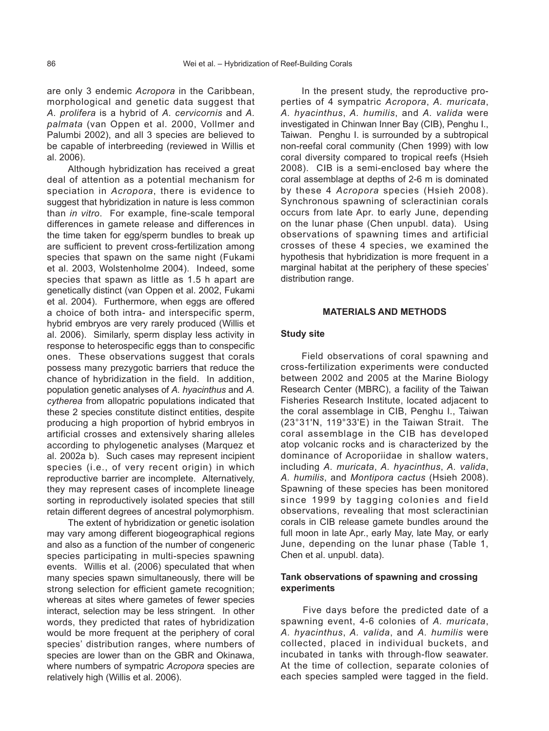are only 3 endemic *Acropora* in the Caribbean, morphological and genetic data suggest that *A. prolifera* is a hybrid of *A. cervicornis* and *A. palmata* (van Oppen et al. 2000, Vollmer and Palumbi 2002), and all 3 species are believed to be capable of interbreeding (reviewed in Willis et al. 2006).

Although hybridization has received a great deal of attention as a potential mechanism for speciation in *Acropora*, there is evidence to suggest that hybridization in nature is less common than *in vitro*. For example, fine-scale temporal differences in gamete release and differences in the time taken for egg/sperm bundles to break up are sufficient to prevent cross-fertilization among species that spawn on the same night (Fukami et al. 2003, Wolstenholme 2004). Indeed, some species that spawn as little as 1.5 h apart are genetically distinct (van Oppen et al. 2002, Fukami et al. 2004). Furthermore, when eggs are offered a choice of both intra- and interspecific sperm, hybrid embryos are very rarely produced (Willis et al. 2006). Similarly, sperm display less activity in response to heterospecific eggs than to conspecific ones. These observations suggest that corals possess many prezygotic barriers that reduce the chance of hybridization in the field. In addition, population genetic analyses of *A. hyacinthus* and *A. cytherea* from allopatric populations indicated that these 2 species constitute distinct entities, despite producing a high proportion of hybrid embryos in artificial crosses and extensively sharing alleles according to phylogenetic analyses (Marquez et al. 2002a b). Such cases may represent incipient species (i.e., of very recent origin) in which reproductive barrier are incomplete. Alternatively, they may represent cases of incomplete lineage sorting in reproductively isolated species that still retain different degrees of ancestral polymorphism.

The extent of hybridization or genetic isolation may vary among different biogeographical regions and also as a function of the number of congeneric species participating in multi-species spawning events. Willis et al. (2006) speculated that when many species spawn simultaneously, there will be strong selection for efficient gamete recognition; whereas at sites where gametes of fewer species interact, selection may be less stringent. In other words, they predicted that rates of hybridization would be more frequent at the periphery of coral species' distribution ranges, where numbers of species are lower than on the GBR and Okinawa, where numbers of sympatric *Acropora* species are relatively high (Willis et al. 2006).

In the present study, the reproductive properties of 4 sympatric *Acropora*, *A. muricata*, *A. hyacinthus*, *A. humilis*, and *A. valida* were investigated in Chinwan Inner Bay (CIB), Penghu I., Taiwan. Penghu I. is surrounded by a subtropical non-reefal coral community (Chen 1999) with low coral diversity compared to tropical reefs (Hsieh 2008). CIB is a semi-enclosed bay where the coral assemblage at depths of 2-6 m is dominated by these 4 *Acropora* species (Hsieh 2008). Synchronous spawning of scleractinian corals occurs from late Apr. to early June, depending on the lunar phase (Chen unpubl. data). Using observations of spawning times and artificial crosses of these 4 species, we examined the hypothesis that hybridization is more frequent in a marginal habitat at the periphery of these species' distribution range.

### **MATERIALS AND METHODS**

#### **Study site**

Field observations of coral spawning and cross-fertilization experiments were conducted between 2002 and 2005 at the Marine Biology Research Center (MBRC), a facility of the Taiwan Fisheries Research Institute, located adjacent to the coral assemblage in CIB, Penghu I., Taiwan (23°31'N, 119°33'E) in the Taiwan Strait. The coral assemblage in the CIB has developed atop volcanic rocks and is characterized by the dominance of Acroporiidae in shallow waters, including *A. muricata*, *A. hyacinthus*, *A. valida*, *A. humilis*, and *Montipora cactus* (Hsieh 2008). Spawning of these species has been monitored since 1999 by tagging colonies and field observations, revealing that most scleractinian corals in CIB release gamete bundles around the full moon in late Apr., early May, late May, or early June, depending on the lunar phase (Table 1, Chen et al. unpubl. data).

## **Tank observations of spawning and crossing experiments**

Five days before the predicted date of a spawning event, 4-6 colonies of *A. muricata*, *A. hyacinthus*, *A. valida*, and *A. humilis* were collected, placed in individual buckets, and incubated in tanks with through-flow seawater. At the time of collection, separate colonies of each species sampled were tagged in the field.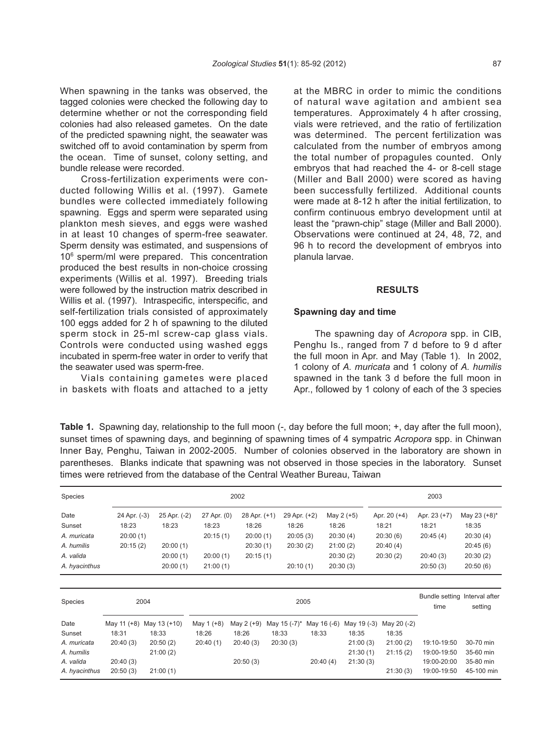When spawning in the tanks was observed, the tagged colonies were checked the following day to determine whether or not the corresponding field colonies had also released gametes. On the date of the predicted spawning night, the seawater was switched off to avoid contamination by sperm from the ocean. Time of sunset, colony setting, and bundle release were recorded.

Cross-fertilization experiments were conducted following Willis et al. (1997). Gamete bundles were collected immediately following spawning. Eggs and sperm were separated using plankton mesh sieves, and eggs were washed in at least 10 changes of sperm-free seawater. Sperm density was estimated, and suspensions of 106 sperm/ml were prepared. This concentration produced the best results in non-choice crossing experiments (Willis et al. 1997). Breeding trials were followed by the instruction matrix described in Willis et al. (1997). Intraspecific, interspecific, and self-fertilization trials consisted of approximately 100 eggs added for 2 h of spawning to the diluted sperm stock in 25-ml screw-cap glass vials. Controls were conducted using washed eggs incubated in sperm-free water in order to verify that the seawater used was sperm-free.

Vials containing gametes were placed in baskets with floats and attached to a jetty at the MBRC in order to mimic the conditions of natural wave agitation and ambient sea temperatures. Approximately 4 h after crossing, vials were retrieved, and the ratio of fertilization was determined. The percent fertilization was calculated from the number of embryos among the total number of propagules counted. Only embryos that had reached the 4- or 8-cell stage (Miller and Ball 2000) were scored as having been successfully fertilized. Additional counts were made at 8-12 h after the initial fertilization, to confirm continuous embryo development until at least the "prawn-chip" stage (Miller and Ball 2000). Observations were continued at 24, 48, 72, and 96 h to record the development of embryos into planula larvae.

## **RESULTS**

## **Spawning day and time**

The spawning day of *Acropora* spp. in CIB, Penghu Is., ranged from 7 d before to 9 d after the full moon in Apr. and May (Table 1). In 2002, 1 colony of *A. muricata* and 1 colony of *A. humilis* spawned in the tank 3 d before the full moon in Apr., followed by 1 colony of each of the 3 species

**Table 1.** Spawning day, relationship to the full moon (-, day before the full moon; +, day after the full moon), sunset times of spawning days, and beginning of spawning times of 4 sympatric *Acropora* spp. in Chinwan Inner Bay, Penghu, Taiwan in 2002-2005. Number of colonies observed in the laboratory are shown in parentheses. Blanks indicate that spawning was not observed in those species in the laboratory. Sunset times were retrieved from the database of the Central Weather Bureau, Taiwan

| Species        |                       | 2002                  |                                               |                       |                       |             |             | 2003                  |                       |                       |  |
|----------------|-----------------------|-----------------------|-----------------------------------------------|-----------------------|-----------------------|-------------|-------------|-----------------------|-----------------------|-----------------------|--|
| Date<br>Sunset | 24 Apr. (-3)<br>18:23 | 25 Apr. (-2)<br>18:23 | 27 Apr. (0)<br>18:23                          | 28 Apr. (+1)<br>18:26 | 29 Apr. (+2)<br>18:26 | 18:26       | May 2 (+5)  | Apr. 20 (+4)<br>18:21 | Apr. 23 (+7)<br>18:21 | May 23 (+8)*<br>18:35 |  |
| A. muricata    | 20:00(1)              |                       | 20:15(1)                                      | 20:00(1)              | 20:05(3)              |             | 20:30(4)    | 20:30(6)              | 20:45(4)              | 20:30(4)              |  |
| A. humilis     | 20:15(2)              | 20:00(1)              |                                               | 20:30(1)              | 20:30(2)              |             | 21:00(2)    | 20:40(4)              |                       | 20:45(6)              |  |
| A. valida      |                       | 20:00(1)              | 20:00(1)                                      | 20:15(1)              |                       |             | 20:30(2)    | 20:30(2)              | 20:40(3)              | 20:30(2)              |  |
| A. hyacinthus  |                       | 20:00(1)              | 21:00(1)                                      |                       | 20:10(1)              |             | 20:30(3)    |                       | 20:50(3)              | 20:50(6)              |  |
|                |                       |                       |                                               |                       |                       |             |             |                       |                       |                       |  |
| Species        |                       | 2004                  | Bundle setting Interval after<br>2005<br>time |                       |                       |             |             |                       | setting               |                       |  |
| Date           | May 11 (+8)           | May 13 (+10)          | May 1 (+8)                                    | May 2 (+9)            | May 15 (-7)*          | May 16 (-6) | May 19 (-3) | May 20 (-2)           |                       |                       |  |
| Sunset         | 18:31                 | 18:33                 | 18:26                                         | 18:26                 | 18:33                 | 18:33       | 18:35       | 18:35                 |                       |                       |  |
| A. muricata    | 20:40(3)              | 20:50(2)              | 20:40(1)                                      | 20:40(3)              | 20:30(3)              |             | 21:00(3)    | 21:00(2)              | 19:10-19:50           | 30-70 min             |  |
| A. humilis     |                       | 21:00(2)              |                                               |                       |                       |             | 21:30(1)    | 21:15(2)              | 19:00-19:50           | 35-60 min             |  |
| A. valida      | 20:40(3)              |                       |                                               | 20:50(3)              |                       | 20:40(4)    | 21:30(3)    |                       | 19:00-20:00           | 35-80 min             |  |
| A. hyacinthus  | 20:50(3)              | 21:00(1)              |                                               |                       |                       |             |             | 21:30(3)              | 19:00-19:50           | 45-100 min            |  |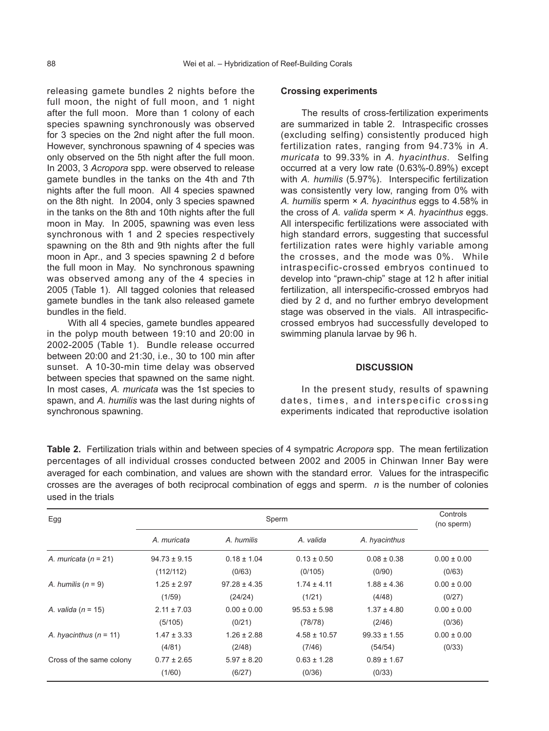releasing gamete bundles 2 nights before the full moon, the night of full moon, and 1 night after the full moon. More than 1 colony of each species spawning synchronously was observed for 3 species on the 2nd night after the full moon. However, synchronous spawning of 4 species was only observed on the 5th night after the full moon. In 2003, 3 *Acropora* spp. were observed to release gamete bundles in the tanks on the 4th and 7th nights after the full moon. All 4 species spawned on the 8th night. In 2004, only 3 species spawned in the tanks on the 8th and 10th nights after the full moon in May. In 2005, spawning was even less synchronous with 1 and 2 species respectively spawning on the 8th and 9th nights after the full moon in Apr., and 3 species spawning 2 d before the full moon in May. No synchronous spawning was observed among any of the 4 species in 2005 (Table 1). All tagged colonies that released gamete bundles in the tank also released gamete bundles in the field.

With all 4 species, gamete bundles appeared in the polyp mouth between 19:10 and 20:00 in 2002-2005 (Table 1). Bundle release occurred between 20:00 and 21:30, i.e., 30 to 100 min after sunset. A 10-30-min time delay was observed between species that spawned on the same night. In most cases, *A. muricata* was the 1st species to spawn, and *A. humilis* was the last during nights of synchronous spawning.

#### **Crossing experiments**

The results of cross-fertilization experiments are summarized in table 2. Intraspecific crosses (excluding selfing) consistently produced high fertilization rates, ranging from 94.73% in *A. muricata* to 99.33% in *A. hyacinthus*. Selfing occurred at a very low rate (0.63%-0.89%) except with *A. humilis* (5.97%). Interspecific fertilization was consistently very low, ranging from 0% with *A. humilis* sperm × *A. hyacinthus* eggs to 4.58% in the cross of *A. valida* sperm × *A. hyacinthus* eggs. All interspecific fertilizations were associated with high standard errors, suggesting that successful fertilization rates were highly variable among the crosses, and the mode was 0%. While intraspecific-crossed embryos continued to develop into "prawn-chip" stage at 12 h after initial fertilization, all interspecific-crossed embryos had died by 2 d, and no further embryo development stage was observed in the vials. All intraspecificcrossed embryos had successfully developed to swimming planula larvae by 96 h.

## **DISCUSSION**

In the present study, results of spawning dates, times, and interspecific crossing experiments indicated that reproductive isolation

**Table 2.** Fertilization trials within and between species of 4 sympatric *Acropora* spp. The mean fertilization percentages of all individual crosses conducted between 2002 and 2005 in Chinwan Inner Bay were averaged for each combination, and values are shown with the standard error. Values for the intraspecific crosses are the averages of both reciprocal combination of eggs and sperm. *n* is the number of colonies used in the trials

| Egg                      |                                     | Controls<br>(no sperm) |                  |                  |                 |  |
|--------------------------|-------------------------------------|------------------------|------------------|------------------|-----------------|--|
|                          | A. muricata                         | A. humilis             | A. valida        | A. hyacinthus    |                 |  |
| A. muricata $(n = 21)$   | $0.18 \pm 1.04$<br>$94.73 \pm 9.15$ |                        | $0.13 \pm 0.50$  | $0.08 \pm 0.38$  | $0.00 \pm 0.00$ |  |
|                          | (112/112)                           | (0/63)                 | (0/105)          | (0/90)           | (0/63)          |  |
| A. humilis $(n = 9)$     | $1.25 \pm 2.97$                     | $97.28 \pm 4.35$       | $1.74 \pm 4.11$  | $1.88 \pm 4.36$  | $0.00 \pm 0.00$ |  |
|                          | (1/59)                              | (24/24)                | (1/21)           | (4/48)           | (0/27)          |  |
| A. valida ( $n = 15$ )   | $2.11 \pm 7.03$                     | $0.00 \pm 0.00$        | $95.53 \pm 5.98$ | $1.37 \pm 4.80$  | $0.00 \pm 0.00$ |  |
|                          | (5/105)                             | (0/21)                 | (78/78)          | (2/46)           | (0/36)          |  |
| A. hyacinthus $(n = 11)$ | $1.47 \pm 3.33$                     | $1.26 \pm 2.88$        | $4.58 \pm 10.57$ | $99.33 \pm 1.55$ | $0.00 \pm 0.00$ |  |
|                          | (4/81)                              | (2/48)                 | (7/46)           | (54/54)          | (0/33)          |  |
| Cross of the same colony | $0.77 \pm 2.65$                     | $5.97 \pm 8.20$        | $0.63 \pm 1.28$  | $0.89 \pm 1.67$  |                 |  |
|                          | (1/60)                              | (6/27)                 | (0/36)           | (0/33)           |                 |  |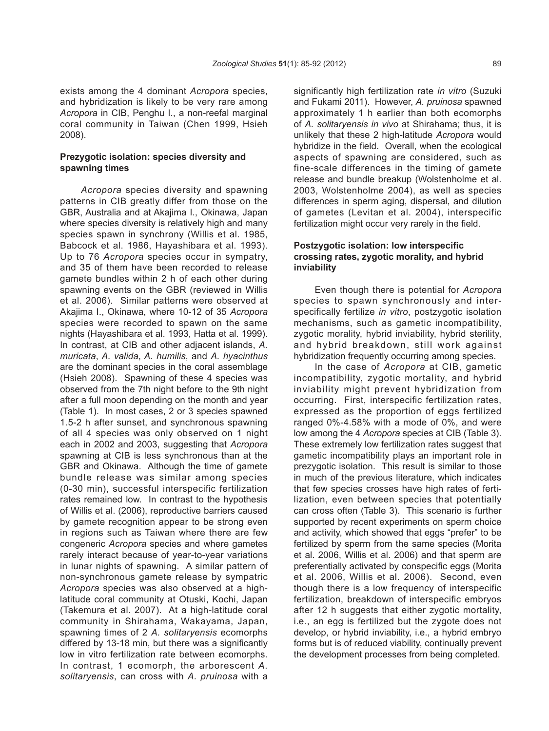exists among the 4 dominant *Acropora* species, and hybridization is likely to be very rare among *Acropora* in CIB, Penghu I., a non-reefal marginal coral community in Taiwan (Chen 1999, Hsieh 2008).

# **Prezygotic isolation: species diversity and spawning times**

*Acropora* species diversity and spawning patterns in CIB greatly differ from those on the GBR, Australia and at Akajima I., Okinawa, Japan where species diversity is relatively high and many species spawn in synchrony (Willis et al. 1985, Babcock et al. 1986, Hayashibara et al. 1993). Up to 76 *Acropora* species occur in sympatry, and 35 of them have been recorded to release gamete bundles within 2 h of each other during spawning events on the GBR (reviewed in Willis et al. 2006). Similar patterns were observed at Akajima I., Okinawa, where 10-12 of 35 *Acropora*  species were recorded to spawn on the same nights (Hayashibara et al. 1993, Hatta et al. 1999). In contrast, at CIB and other adjacent islands, *A. muricata*, *A. valida*, *A. humilis*, and *A. hyacinthus* are the dominant species in the coral assemblage (Hsieh 2008). Spawning of these 4 species was observed from the 7th night before to the 9th night after a full moon depending on the month and year (Table 1). In most cases, 2 or 3 species spawned 1.5-2 h after sunset, and synchronous spawning of all 4 species was only observed on 1 night each in 2002 and 2003, suggesting that *Acropora* spawning at CIB is less synchronous than at the GBR and Okinawa. Although the time of gamete bundle release was similar among species (0-30 min), successful interspecific fertilization rates remained low. In contrast to the hypothesis of Willis et al. (2006), reproductive barriers caused by gamete recognition appear to be strong even in regions such as Taiwan where there are few congeneric *Acropora* species and where gametes rarely interact because of year-to-year variations in lunar nights of spawning. A similar pattern of non-synchronous gamete release by sympatric *Acropora* species was also observed at a highlatitude coral community at Otuski, Kochi, Japan (Takemura et al. 2007). At a high-latitude coral community in Shirahama, Wakayama, Japan, spawning times of 2 *A. solitaryensis* ecomorphs differed by 13-18 min, but there was a significantly low in vitro fertilization rate between ecomorphs. In contrast, 1 ecomorph, the arborescent *A. solitaryensis*, can cross with *A. pruinosa* with a

significantly high fertilization rate *in vitro* (Suzuki and Fukami 2011). However, *A. pruinosa* spawned approximately 1 h earlier than both ecomorphs of *A. solitaryensis in vivo* at Shirahama; thus, it is unlikely that these 2 high-latitude *Acropora* would hybridize in the field. Overall, when the ecological aspects of spawning are considered, such as fine-scale differences in the timing of gamete release and bundle breakup (Wolstenholme et al. 2003, Wolstenholme 2004), as well as species differences in sperm aging, dispersal, and dilution of gametes (Levitan et al. 2004), interspecific fertilization might occur very rarely in the field.

# **Postzygotic isolation: low interspecific crossing rates, zygotic morality, and hybrid inviability**

Even though there is potential for *Acropora* species to spawn synchronously and interspecifically fertilize *in vitro*, postzygotic isolation mechanisms, such as gametic incompatibility, zygotic morality, hybrid inviability, hybrid sterility, and hybrid breakdown, still work against hybridization frequently occurring among species.

In the case of *Acropora* at CIB, gametic incompatibility, zygotic mortality, and hybrid inviability might prevent hybridization from occurring. First, interspecific fertilization rates, expressed as the proportion of eggs fertilized ranged 0%-4.58% with a mode of 0%, and were low among the 4 *Acropora* species at CIB (Table 3). These extremely low fertilization rates suggest that gametic incompatibility plays an important role in prezygotic isolation. This result is similar to those in much of the previous literature, which indicates that few species crosses have high rates of fertilization, even between species that potentially can cross often (Table 3). This scenario is further supported by recent experiments on sperm choice and activity, which showed that eggs "prefer" to be fertilized by sperm from the same species (Morita et al. 2006, Willis et al. 2006) and that sperm are preferentially activated by conspecific eggs (Morita et al. 2006, Willis et al. 2006). Second, even though there is a low frequency of interspecific fertilization, breakdown of interspecific embryos after 12 h suggests that either zygotic mortality, i.e., an egg is fertilized but the zygote does not develop, or hybrid inviability, i.e., a hybrid embryo forms but is of reduced viability, continually prevent the development processes from being completed.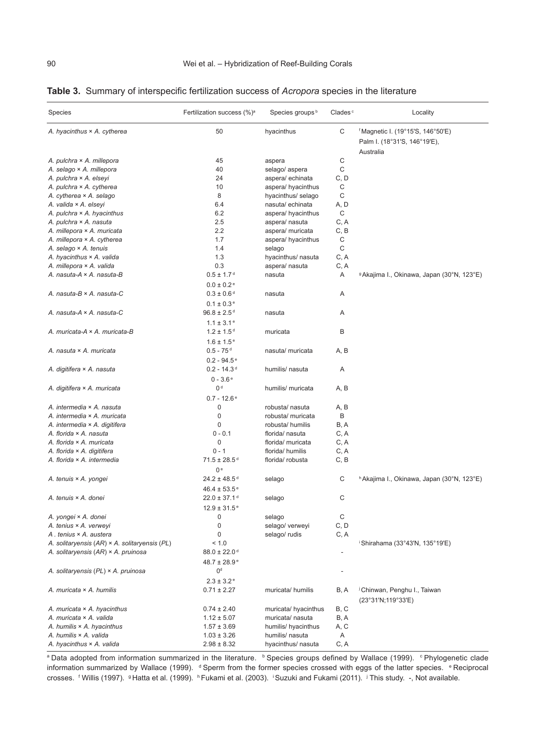|  |  | Table 3. Summary of interspecific fertilization success of Acropora species in the literature |  |  |  |  |  |
|--|--|-----------------------------------------------------------------------------------------------|--|--|--|--|--|
|--|--|-----------------------------------------------------------------------------------------------|--|--|--|--|--|

| Species                                       | Fertilization success (%) <sup>a</sup>         | Species groups <sup>b</sup> | Clades <sup>c</sup> | Locality                                                                                  |
|-----------------------------------------------|------------------------------------------------|-----------------------------|---------------------|-------------------------------------------------------------------------------------------|
| A. hyacinthus × A. cytherea                   | 50                                             | hyacinthus                  | С                   | <sup>f</sup> Magnetic I. (19°15'S, 146°50'E)<br>Palm I. (18°31'S, 146°19'E),<br>Australia |
| A. pulchra × A. millepora                     | 45                                             | aspera                      | C                   |                                                                                           |
| A. selago × A. millepora                      | 40                                             | selago/ aspera              | C                   |                                                                                           |
| A. pulchra × A. elseyi                        | 24                                             | aspera/ echinata            | C, D                |                                                                                           |
| A. pulchra × A. cytherea                      | 10                                             | aspera/ hyacinthus          | C                   |                                                                                           |
| A. cytherea × A. selago                       | 8                                              | hyacinthus/ selago          | C                   |                                                                                           |
| A. valida × A. elseyi                         | 6.4                                            | nasuta/echinata             | A, D                |                                                                                           |
| A. pulchra $\times$ A. hyacinthus             | 6.2                                            | aspera/ hyacinthus          | C                   |                                                                                           |
| A. pulchra × A. nasuta                        | 2.5                                            | aspera/ nasuta              | C, A                |                                                                                           |
| A. millepora × A. muricata                    | 2.2                                            | aspera/ muricata            | C, B                |                                                                                           |
| A. millepora × A. cytherea                    | 1.7                                            | aspera/ hyacinthus          | C                   |                                                                                           |
| A. selago × A. tenuis                         | 1.4                                            | selago                      | C                   |                                                                                           |
| A. hyacinthus × A. valida                     | 1.3                                            | hyacinthus/ nasuta          | C, A                |                                                                                           |
| A. millepora × A. valida                      | 0.3                                            | aspera/ nasuta              | C, A                |                                                                                           |
| A. nasuta-A × A. nasuta-B                     | $0.5 \pm 1.7$ <sup>d</sup>                     | nasuta                      | Α                   | <sup>9</sup> Akajima I., Okinawa, Japan (30°N, 123°E)                                     |
|                                               | $0.0 \pm 0.2$ <sup>e</sup>                     |                             |                     |                                                                                           |
| A. nasuta-B × A. nasuta-C                     | $0.3 \pm 0.6$ <sup>d</sup>                     | nasuta                      | Α                   |                                                                                           |
|                                               | $0.1 \pm 0.3$ <sup>e</sup>                     |                             |                     |                                                                                           |
| A. nasuta-A × A. nasuta-C                     | $96.8 \pm 2.5$ <sup>d</sup>                    | nasuta                      | Α                   |                                                                                           |
|                                               | $1.1 \pm 3.1$ <sup>e</sup>                     |                             |                     |                                                                                           |
| A. muricata-A × A. muricata-B                 | $1.2 \pm 1.5$ <sup>d</sup>                     | muricata                    | B                   |                                                                                           |
|                                               | $1.6 \pm 1.5$ <sup>e</sup>                     |                             |                     |                                                                                           |
| A. nasuta × A. muricata                       | $0.5 - 75$ <sup>d</sup>                        | nasuta/ muricata            | A, B                |                                                                                           |
|                                               | $0.2 - 94.5$ <sup>e</sup>                      |                             |                     |                                                                                           |
|                                               | $0.2 - 14.3$ <sup>d</sup>                      |                             |                     |                                                                                           |
| A. digitifera × A. nasuta                     |                                                | humilis/ nasuta             | Α                   |                                                                                           |
|                                               | $0 - 3.6e$                                     |                             |                     |                                                                                           |
| A. digitifera × A. muricata                   | 0 <sup>d</sup>                                 | humilis/ muricata           | A, B                |                                                                                           |
|                                               | $0.7 - 12.6$ <sup>e</sup>                      |                             |                     |                                                                                           |
| A. intermedia × A. nasuta                     | 0                                              | robusta/ nasuta             | A, B                |                                                                                           |
| A. intermedia × A. muricata                   | 0                                              | robusta/ muricata           | B                   |                                                                                           |
| A. intermedia × A. digitifera                 | $\mathbf 0$                                    | robusta/ humilis            | B, A                |                                                                                           |
| A. florida × A. nasuta                        | $0 - 0.1$                                      | florida/ nasuta             | C, A                |                                                                                           |
| A. florida × A. muricata                      | $\mathbf 0$                                    | florida/ muricata           | C, A                |                                                                                           |
| A. florida × A. digitifera                    | $0 - 1$                                        | florida/ humilis            | C, A                |                                                                                           |
| A. florida × A. intermedia                    | $71.5 \pm 28.5$ <sup>d</sup><br>0 <sup>e</sup> | florida/ robusta            | C, B                |                                                                                           |
| A. tenuis × A. yongei                         | $24.2 \pm 48.5$ <sup>d</sup>                   | selago                      | С                   | <sup>h</sup> Akajima I., Okinawa, Japan (30°N, 123°E)                                     |
|                                               | $46.4 \pm 53.5^{\circ}$                        |                             |                     |                                                                                           |
| A. tenuis × A. donei                          | $22.0 \pm 37.1$ <sup>d</sup>                   | selago                      | С                   |                                                                                           |
|                                               | $12.9 \pm 31.5$ <sup>e</sup>                   |                             |                     |                                                                                           |
| A. yongei × A. donei                          | $\pmb{0}$                                      | selago                      | С                   |                                                                                           |
| A. tenius × A. verweyi                        | $\pmb{0}$                                      | selago/ verweyi             | C, D                |                                                                                           |
| A. tenius × A. austera                        | 0                                              | selago/ rudis               | C, A                |                                                                                           |
| A. solitaryensis (AR) × A. solitaryensis (PL) | < 1.0                                          |                             |                     | <sup>i</sup> Shirahama (33°43'N, 135°19'E)                                                |
| A. solitaryensis (AR) × A. pruinosa           | $88.0 \pm 22.0$ <sup>d</sup>                   |                             | ٠                   |                                                                                           |
|                                               | $48.7 \pm 28.9^{\circ}$                        |                             |                     |                                                                                           |
| A. solitaryensis (PL) × A. pruinosa           | 0 <sup>d</sup>                                 |                             |                     |                                                                                           |
|                                               | $2.3 \pm 3.2$ <sup>e</sup>                     |                             |                     |                                                                                           |
| A. muricata × A. humilis                      | $0.71 \pm 2.27$                                | muricata/humilis            | B, A                | <sup>j</sup> Chinwan, Penghu I., Taiwan<br>(23°31'N;119°33'E)                             |
| A. muricata $\times$ A. hyacinthus            | $0.74 \pm 2.40$                                | muricata/ hyacinthus        | B, C                |                                                                                           |
| A. muricata × A. valida                       | $1.12 \pm 5.07$                                | muricata/ nasuta            | B, A                |                                                                                           |
| A. humilis $\times$ A. hyacinthus             | $1.57 \pm 3.69$                                | humilis/ hyacinthus         | A, C                |                                                                                           |
| A. humilis × A. valida                        | $1.03 \pm 3.26$                                | humilis/ nasuta             | Α                   |                                                                                           |
| A. hyacinthus × A. valida                     | $2.98 \pm 8.32$                                | hyacinthus/ nasuta          | C, A                |                                                                                           |
|                                               |                                                |                             |                     |                                                                                           |

a Data adopted from information summarized in the literature. b Species groups defined by Wallace (1999). Phylogenetic clade information summarized by Wallace (1999). <sup>d</sup> Sperm from the former species crossed with eggs of the latter species. <sup>e</sup> Reciprocal crosses. *f Willis* (1997). <sup>9</sup> Hatta et al. (1999). <sup>h</sup> Fukami et al. (2003). <sup>i</sup> Suzuki and Fukami (2011). <sup>j</sup> This study. -, Not available.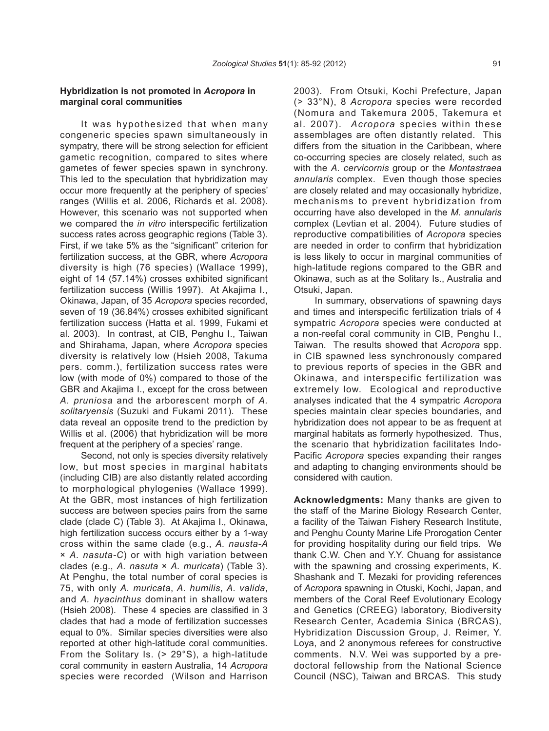## **Hybridization is not promoted in** *Acropora* **in marginal coral communities**

It was hypothesized that when many congeneric species spawn simultaneously in sympatry, there will be strong selection for efficient gametic recognition, compared to sites where gametes of fewer species spawn in synchrony. This led to the speculation that hybridization may occur more frequently at the periphery of species' ranges (Willis et al. 2006, Richards et al. 2008). However, this scenario was not supported when we compared the *in vitro* interspecific fertilization success rates across geographic regions (Table 3). First, if we take 5% as the "significant" criterion for fertilization success, at the GBR, where *Acropora*  diversity is high (76 species) (Wallace 1999), eight of 14 (57.14%) crosses exhibited significant fertilization success (Willis 1997). At Akajima I., Okinawa, Japan, of 35 *Acropora* species recorded, seven of 19 (36.84%) crosses exhibited significant fertilization success (Hatta et al. 1999, Fukami et al. 2003). In contrast, at CIB, Penghu I., Taiwan and Shirahama, Japan, where *Acropora* species diversity is relatively low (Hsieh 2008, Takuma pers. comm.), fertilization success rates were low (with mode of 0%) compared to those of the GBR and Akajima I., except for the cross between *A. pruniosa* and the arborescent morph of *A. solitaryensis* (Suzuki and Fukami 2011). These data reveal an opposite trend to the prediction by Willis et al. (2006) that hybridization will be more frequent at the periphery of a species' range.

Second, not only is species diversity relatively low, but most species in marginal habitats (including CIB) are also distantly related according to morphological phylogenies (Wallace 1999). At the GBR, most instances of high fertilization success are between species pairs from the same clade (clade C) (Table 3). At Akajima I., Okinawa, high fertilization success occurs either by a 1-way cross within the same clade (e.g., *A. nausta-A* × *A. nasuta-C*) or with high variation between clades (e.g., *A. nasuta* × *A. muricata*) (Table 3). At Penghu, the total number of coral species is 75, with only *A. muricata*, *A. humilis*, *A. valida*, and *A. hyacinthus* dominant in shallow waters (Hsieh 2008). These 4 species are classified in 3 clades that had a mode of fertilization successes equal to 0%. Similar species diversities were also reported at other high-latitude coral communities. From the Solitary Is. (> 29°S), a high-latitude coral community in eastern Australia, 14 *Acropora* species were recorded (Wilson and Harrison

2003). From Otsuki, Kochi Prefecture, Japan (> 33°N), 8 *Acropora* species were recorded (Nomura and Takemura 2005, Takemura et al. 2007). *Acropora* species within these assemblages are often distantly related. This differs from the situation in the Caribbean, where co-occurring species are closely related, such as with the *A. cervicornis* group or the *Montastraea annularis* complex. Even though those species are closely related and may occasionally hybridize, mechanisms to prevent hybridization from occurring have also developed in the *M. annularis* complex (Levtian et al. 2004). Future studies of reproductive compatibilities of *Acropora* species are needed in order to confirm that hybridization is less likely to occur in marginal communities of high-latitude regions compared to the GBR and Okinawa, such as at the Solitary Is., Australia and Otsuki, Japan.

In summary, observations of spawning days and times and interspecific fertilization trials of 4 sympatric *Acropora* species were conducted at a non-reefal coral community in CIB, Penghu I., Taiwan. The results showed that *Acropora* spp. in CIB spawned less synchronously compared to previous reports of species in the GBR and Okinawa, and interspecific fertilization was extremely low. Ecological and reproductive analyses indicated that the 4 sympatric *Acropora* species maintain clear species boundaries, and hybridization does not appear to be as frequent at marginal habitats as formerly hypothesized. Thus, the scenario that hybridization facilitates Indo-Pacific *Acropora* species expanding their ranges and adapting to changing environments should be considered with caution.

**Acknowledgments:** Many thanks are given to the staff of the Marine Biology Research Center, a facility of the Taiwan Fishery Research Institute, and Penghu County Marine Life Prorogation Center for providing hospitality during our field trips. We thank C.W. Chen and Y.Y. Chuang for assistance with the spawning and crossing experiments, K. Shashank and T. Mezaki for providing references of *Acropora* spawning in Otuski, Kochi, Japan, and members of the Coral Reef Evolutionary Ecology and Genetics (CREEG) laboratory, Biodiversity Research Center, Academia Sinica (BRCAS), Hybridization Discussion Group, J. Reimer, Y. Loya, and 2 anonymous referees for constructive comments. N.V. Wei was supported by a predoctoral fellowship from the National Science Council (NSC), Taiwan and BRCAS. This study